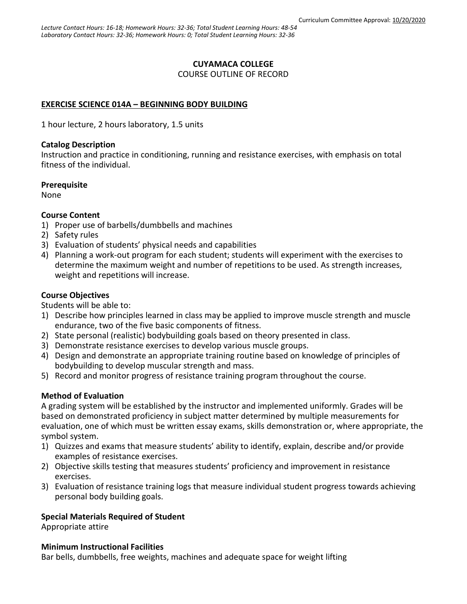### **CUYAMACA COLLEGE**

COURSE OUTLINE OF RECORD

### **EXERCISE SCIENCE 014A – BEGINNING BODY BUILDING**

1 hour lecture, 2 hours laboratory, 1.5 units

#### **Catalog Description**

Instruction and practice in conditioning, running and resistance exercises, with emphasis on total fitness of the individual.

#### **Prerequisite**

None

#### **Course Content**

- 1) Proper use of barbells/dumbbells and machines
- 2) Safety rules
- 3) Evaluation of students' physical needs and capabilities
- 4) Planning a work-out program for each student; students will experiment with the exercises to determine the maximum weight and number of repetitions to be used. As strength increases, weight and repetitions will increase.

#### **Course Objectives**

Students will be able to:

- 1) Describe how principles learned in class may be applied to improve muscle strength and muscle endurance, two of the five basic components of fitness.
- 2) State personal (realistic) bodybuilding goals based on theory presented in class.
- 3) Demonstrate resistance exercises to develop various muscle groups.
- 4) Design and demonstrate an appropriate training routine based on knowledge of principles of bodybuilding to develop muscular strength and mass.
- 5) Record and monitor progress of resistance training program throughout the course.

#### **Method of Evaluation**

A grading system will be established by the instructor and implemented uniformly. Grades will be based on demonstrated proficiency in subject matter determined by multiple measurements for evaluation, one of which must be written essay exams, skills demonstration or, where appropriate, the symbol system.

- 1) Quizzes and exams that measure students' ability to identify, explain, describe and/or provide examples of resistance exercises.
- 2) Objective skills testing that measures students' proficiency and improvement in resistance exercises.
- 3) Evaluation of resistance training logs that measure individual student progress towards achieving personal body building goals.

#### **Special Materials Required of Student**

Appropriate attire

#### **Minimum Instructional Facilities**

Bar bells, dumbbells, free weights, machines and adequate space for weight lifting